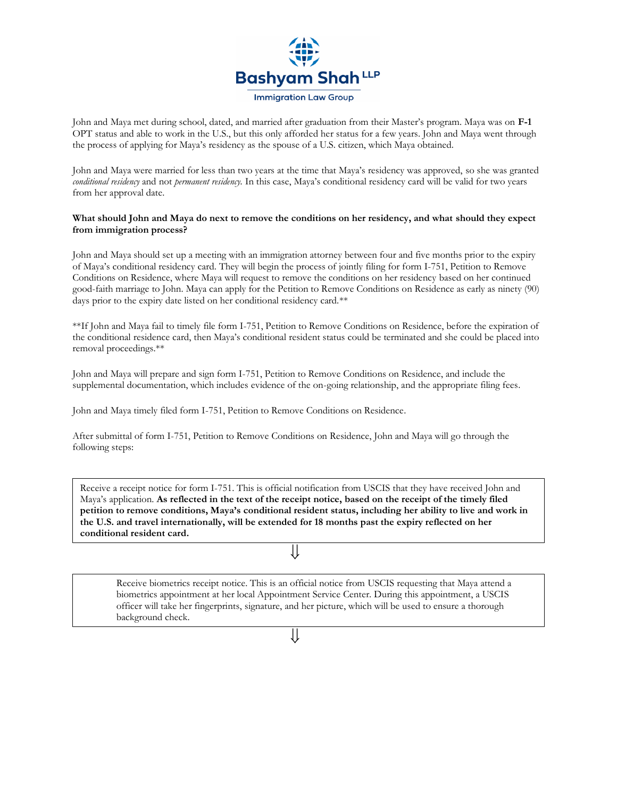

John and Maya met during school, dated, and married after graduation from their Master's program. Maya was on **F-1** OPT status and able to work in the U.S., but this only afforded her status for a few years. John and Maya went through the process of applying for Maya's residency as the spouse of a U.S. citizen, which Maya obtained.

John and Maya were married for less than two years at the time that Maya's residency was approved, so she was granted *conditional residency* and not *permanent residency.* In this case, Maya's conditional residency card will be valid for two years from her approval date.

## **What should John and Maya do next to remove the conditions on her residency, and what should they expect from immigration process?**

John and Maya should set up a meeting with an immigration attorney between four and five months prior to the expiry of Maya's conditional residency card. They will begin the process of jointly filing for form I-751, Petition to Remove Conditions on Residence, where Maya will request to remove the conditions on her residency based on her continued good-faith marriage to John. Maya can apply for the Petition to Remove Conditions on Residence as early as ninety (90) days prior to the expiry date listed on her conditional residency card.\*\*

\*\*If John and Maya fail to timely file form I-751, Petition to Remove Conditions on Residence, before the expiration of the conditional residence card, then Maya's conditional resident status could be terminated and she could be placed into removal proceedings.\*\*

John and Maya will prepare and sign form I-751, Petition to Remove Conditions on Residence, and include the supplemental documentation, which includes evidence of the on-going relationship, and the appropriate filing fees.

John and Maya timely filed form I-751, Petition to Remove Conditions on Residence.

After submittal of form I-751, Petition to Remove Conditions on Residence, John and Maya will go through the following steps:

Receive a receipt notice for form I-751. This is official notification from USCIS that they have received John and Maya's application. **As reflected in the text of the receipt notice, based on the receipt of the timely filed petition to remove conditions, Maya's conditional resident status, including her ability to live and work in the U.S. and travel internationally, will be extended for 18 months past the expiry reflected on her conditional resident card.**

Receive biometrics receipt notice. This is an official notice from USCIS requesting that Maya attend a biometrics appointment at her local Appointment Service Center. During this appointment, a USCIS officer will take her fingerprints, signature, and her picture, which will be used to ensure a thorough background check.

⇓

⇓